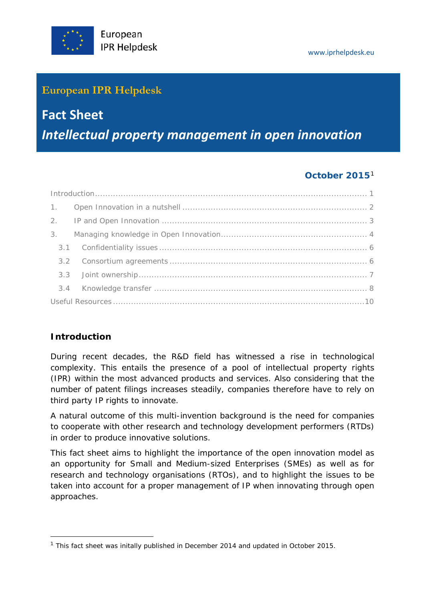## **European IPR Helpdesk**

# **Fact Sheet**  *Intellectual property management in open innovation*

## **October 2015**[1](#page-0-1)

## <span id="page-0-0"></span>**Introduction**

1

During recent decades, the R&D field has witnessed a rise in technological complexity. This entails the presence of a pool of intellectual property rights (IPR) within the most advanced products and services. Also considering that the number of patent filings increases steadily, companies therefore have to rely on third party IP rights to innovate.

A natural outcome of this multi-invention background is the need for companies to cooperate with other research and technology development performers (RTDs) in order to produce innovative solutions.

This fact sheet aims to highlight the importance of the open innovation model as an opportunity for Small and Medium-sized Enterprises (SMEs) as well as for research and technology organisations (RTOs), and to highlight the issues to be taken into account for a proper management of IP when innovating through open approaches.

<span id="page-0-1"></span><sup>&</sup>lt;sup>1</sup> This fact sheet was initally published in December 2014 and updated in October 2015.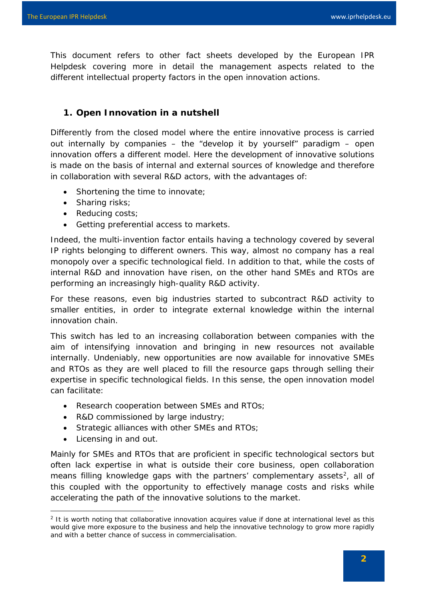This document refers to other fact sheets developed by the European IPR Helpdesk covering more in detail the management aspects related to the different intellectual property factors in the open innovation actions.

### <span id="page-1-0"></span>**1. Open Innovation in a nutshell**

Differently from the closed model where the entire innovative process is carried out internally by companies – the "develop it by yourself" paradigm – open innovation offers a different model. Here the development of innovative solutions is made on the basis of internal and external sources of knowledge and therefore in collaboration with several R&D actors, with the advantages of:

- Shortening the time to innovate;
- Sharing risks;
- Reducing costs;
- Getting preferential access to markets.

Indeed, the multi-invention factor entails having a technology covered by several IP rights belonging to different owners. This way, almost no company has a real monopoly over a specific technological field. In addition to that, while the costs of internal R&D and innovation have risen, on the other hand SMEs and RTOs are performing an increasingly high-quality R&D activity.

For these reasons, even big industries started to subcontract R&D activity to smaller entities, in order to integrate external knowledge within the internal innovation chain.

This switch has led to an increasing collaboration between companies with the aim of intensifying innovation and bringing in new resources not available internally. Undeniably, new opportunities are now available for innovative SMEs and RTOs as they are well placed to fill the resource gaps through selling their expertise in specific technological fields. In this sense, the open innovation model can facilitate:

- Research cooperation between SMEs and RTOs;
- R&D commissioned by large industry;
- Strategic alliances with other SMEs and RTOs;
- Licensing in and out.

1

Mainly for SMEs and RTOs that are proficient in specific technological sectors but often lack expertise in what is outside their core business, open collaboration means filling knowledge gaps with the partners' complementary assets<sup>2</sup>, all of this coupled with the opportunity to effectively manage costs and risks while accelerating the path of the innovative solutions to the market.

<span id="page-1-1"></span><sup>&</sup>lt;sup>2</sup> It is worth noting that collaborative innovation acquires value if done at international level as this would give more exposure to the business and help the innovative technology to grow more rapidly and with a better chance of success in commercialisation.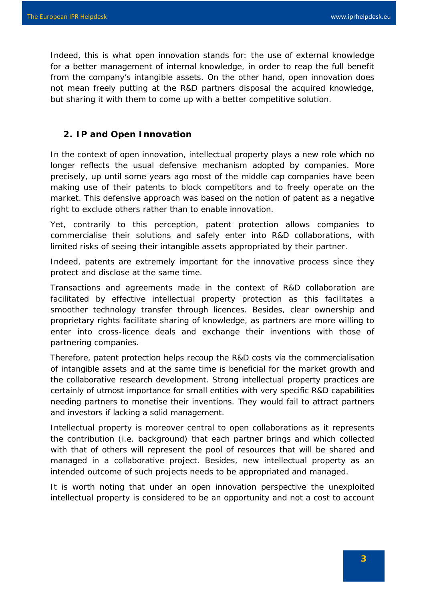Indeed, this is what open innovation stands for: the use of external knowledge for a better management of internal knowledge, in order to reap the full benefit from the company's intangible assets. On the other hand, open innovation does not mean freely putting at the R&D partners disposal the acquired knowledge, but sharing it with them to come up with a better competitive solution.

### <span id="page-2-0"></span>**2. IP and Open Innovation**

In the context of open innovation, intellectual property plays a new role which no longer reflects the usual defensive mechanism adopted by companies. More precisely, up until some years ago most of the middle cap companies have been making use of their patents to block competitors and to freely operate on the market. This defensive approach was based on the notion of patent as a negative right to exclude others rather than to enable innovation.

Yet, contrarily to this perception, patent protection allows companies to commercialise their solutions and safely enter into R&D collaborations, with limited risks of seeing their intangible assets appropriated by their partner.

Indeed, patents are extremely important for the innovative process since they protect and disclose at the same time.

Transactions and agreements made in the context of R&D collaboration are facilitated by effective intellectual property protection as this facilitates a smoother technology transfer through licences. Besides, clear ownership and proprietary rights facilitate sharing of knowledge, as partners are more willing to enter into cross-licence deals and exchange their inventions with those of partnering companies.

Therefore, patent protection helps recoup the R&D costs via the commercialisation of intangible assets and at the same time is beneficial for the market growth and the collaborative research development. Strong intellectual property practices are certainly of utmost importance for small entities with very specific R&D capabilities needing partners to monetise their inventions. They would fail to attract partners and investors if lacking a solid management.

Intellectual property is moreover central to open collaborations as it represents the contribution (i.e. background) that each partner brings and which collected with that of others will represent the pool of resources that will be shared and managed in a collaborative project. Besides, new intellectual property as an intended outcome of such projects needs to be appropriated and managed.

It is worth noting that under an open innovation perspective the unexploited intellectual property is considered to be an opportunity and not a cost to account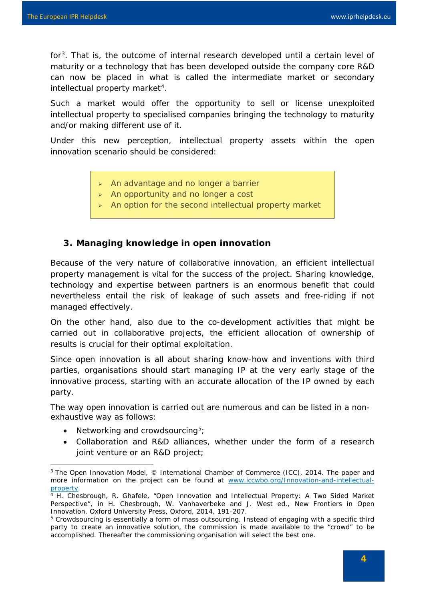for[3.](#page-3-1) That is, the outcome of internal research developed until a certain level of maturity or a technology that has been developed outside the company core R&D can now be placed in what is called the intermediate market or secondary intellectual property market<sup>[4](#page-3-2)</sup>.

Such a market would offer the opportunity to sell or license unexploited intellectual property to specialised companies bringing the technology to maturity and/or making different use of it.

Under this new perception, intellectual property assets within the open innovation scenario should be considered:

- $\triangleright$  An advantage and no longer a barrier
- > An opportunity and no longer a cost
- $\triangleright$  An option for the second intellectual property market

### <span id="page-3-0"></span>**3. Managing knowledge in open innovation**

Because of the very nature of collaborative innovation, an efficient intellectual property management is vital for the success of the project. Sharing knowledge, technology and expertise between partners is an enormous benefit that could nevertheless entail the risk of leakage of such assets and free-riding if not managed effectively.

On the other hand, also due to the co-development activities that might be carried out in collaborative projects, the efficient allocation of ownership of results is crucial for their optimal exploitation.

Since open innovation is all about sharing know-how and inventions with third parties, organisations should start managing IP at the very early stage of the innovative process, starting with an accurate allocation of the IP owned by each party.

The way open innovation is carried out are numerous and can be listed in a nonexhaustive way as follows:

• Networking and crowdsourcing $5$ ;

1

• Collaboration and R&D alliances, whether under the form of a research joint venture or an R&D project;

<span id="page-3-1"></span><sup>&</sup>lt;sup>3</sup> The Open Innovation Model, © International Chamber of Commerce (ICC), 2014. The paper and more information on the project can be found at [www.iccwbo.org/Innovation-and-intellectual](http://www.iccwbo.org/Innovation-and-intellectual-property)[property.](http://www.iccwbo.org/Innovation-and-intellectual-property)

<span id="page-3-2"></span><sup>4</sup> H. Chesbrough, R. Ghafele, "Open Innovation and Intellectual Property: A Two Sided Market Perspective", in H. Chesbrough, W. Vanhaverbeke and J. West ed., *New Frontiers in Open Innovation,* Oxford University Press, Oxford, 2014, 191-207.

<span id="page-3-3"></span><sup>&</sup>lt;sup>5</sup> Crowdsourcing is essentially a form of mass outsourcing. Instead of engaging with a specific third party to create an innovative solution, the commission is made available to the "crowd" to be accomplished. Thereafter the commissioning organisation will select the best one.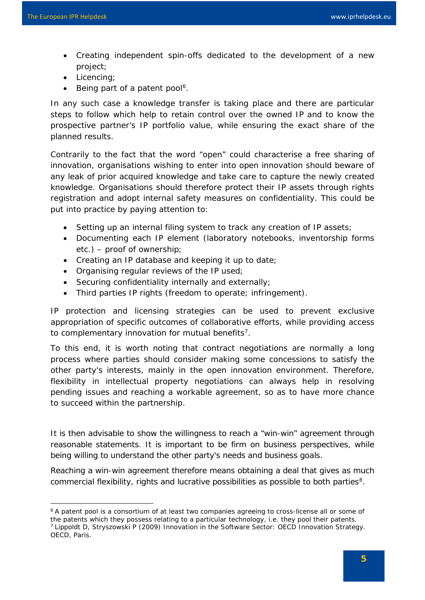1

- Creating independent spin-offs dedicated to the development of a new project;
- Licencing;
- Being part of a patent pool<sup>6</sup>.

In any such case a knowledge transfer is taking place and there are particular steps to follow which help to retain control over the owned IP and to know the prospective partner's IP portfolio value, while ensuring the exact share of the planned results.

Contrarily to the fact that the word "open" could characterise a free sharing of innovation, organisations wishing to enter into open innovation should beware of any leak of prior acquired knowledge and take care to capture the newly created knowledge. Organisations should therefore protect their IP assets through rights registration and adopt internal safety measures on confidentiality. This could be put into practice by paying attention to:

- Setting up an internal filing system to track any creation of IP assets;
- Documenting each IP element (laboratory notebooks, inventorship forms etc.) – proof of ownership;
- Creating an IP database and keeping it up to date;
- Organising regular reviews of the IP used;
- Securing confidentiality internally and externally;
- Third parties IP rights (freedom to operate; infringement).

*IP protection and licensing strategies can be used to prevent exclusive appropriation of specific outcomes of collaborative efforts, while providing access to complementary innovation for mutual benefits[7](#page-4-1)*.

To this end, it is worth noting that contract negotiations are normally a long process where parties should consider making some concessions to satisfy the other party's interests, mainly in the open innovation environment. Therefore, flexibility in intellectual property negotiations can always help in resolving pending issues and reaching a workable agreement, so as to have more chance to succeed within the partnership.

It is then advisable to show the willingness to reach a "win-win" agreement through reasonable statements. It is important to be firm on business perspectives, while being willing to understand the other party's needs and business goals.

<span id="page-4-2"></span>Reaching a win-win agreement therefore means obtaining a deal that gives as much commercial flexibility, rights and lucrative possibilities as possible to both parties<sup>8</sup>.

<span id="page-4-1"></span><span id="page-4-0"></span><sup>&</sup>lt;sup>6</sup> A patent pool is a consortium of at least two companies agreeing to cross-license all or some of the patents which they possess relating to a particular technology, i.e. they pool their patents. 7 Lippoldt D, Stryszowski P (2009) Innovation in the Software Sector: OECD Innovation Strategy. OECD, Paris.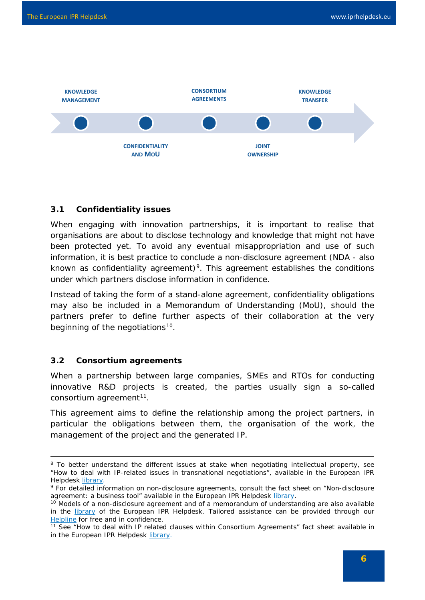

#### <span id="page-5-0"></span>**3.1 Confidentiality issues**

When engaging with innovation partnerships, it is important to realise that organisations are about to disclose technology and knowledge that might not have been protected yet. To avoid any eventual misappropriation and use of such information, it is best practice to conclude a non-disclosure agreement (NDA - also known as confidentiality agreement)<sup>9</sup>. This agreement establishes the conditions under which partners disclose information in confidence.

Instead of taking the form of a stand-alone agreement, confidentiality obligations may also be included in a Memorandum of Understanding (MoU), should the partners prefer to define further aspects of their collaboration at the very beginning of the negotiations<sup>10</sup>.

#### <span id="page-5-1"></span>**3.2 Consortium agreements**

-

When a partnership between large companies, SMEs and RTOs for conducting innovative R&D projects is created, the parties usually sign a so-called consortium agreement<sup>[11](#page-5-4)</sup>.

This agreement aims to define the relationship among the project partners, in particular the obligations between them, the organisation of the work, the management of the project and the generated IP.

<sup>&</sup>lt;sup>8</sup> To better understand the different issues at stake when negotiating intellectual property, see "How to deal with IP-related issues in transnational negotiations", available in the European IPR Helpdesk [library.](http://www.iprhelpdesk.eu/library)

<span id="page-5-2"></span><sup>9</sup> For detailed information on non-disclosure agreements, consult the fact sheet on "Non-disclosure agreement: a business tool" available in the European IPR Helpdesk [library.](http://www.iprhelpdesk.eu/library)

<span id="page-5-3"></span><sup>&</sup>lt;sup>10</sup> Models of a non-disclosure agreement and of a memorandum of understanding are also available in the [library](http://www.iprhelpdesk.eu/library) of the European IPR Helpdesk. Tailored assistance can be provided through our [Helpline](http://www.iprhelpdesk.eu/helpline) for free and in confidence.

<span id="page-5-4"></span><sup>11</sup> See "How to deal with IP related clauses within Consortium Agreements" fact sheet available in in the European IPR Helpdesk [library.](http://www.iprhelpdesk.eu/library)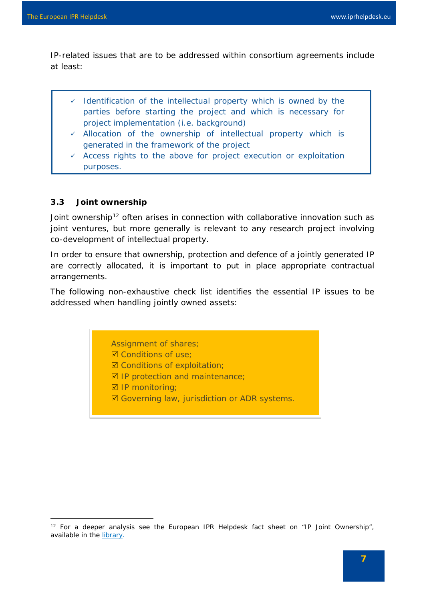IP-related issues that are to be addressed within consortium agreements include at least:

- $\checkmark$  Identification of the intellectual property which is owned by the parties before starting the project and which is necessary for project implementation (i.e. background)
- $\checkmark$  Allocation of the ownership of intellectual property which is generated in the framework of the project
- $\checkmark$  Access rights to the above for project execution or exploitation purposes.

#### <span id="page-6-0"></span>**3.3 Joint ownership**

<span id="page-6-1"></span>1

Joint ownership<sup>[12](#page-6-2)</sup> often arises in connection with collaborative innovation such as joint ventures, but more generally is relevant to any research project involving co-development of intellectual property.

In order to ensure that ownership, protection and defence of a jointly generated IP are correctly allocated, it is important to put in place appropriate contractual arrangements.

The following non-exhaustive check list identifies the essential IP issues to be addressed when handling jointly owned assets:

Assignment of shares;

- **Ø** Conditions of use;
- **Ø Conditions of exploitation:**
- $\boxtimes$  IP protection and maintenance;
- **Ø IP monitoring:**
- **Ø Governing law, jurisdiction or ADR systems.**

<span id="page-6-2"></span><sup>&</sup>lt;sup>12</sup> For a deeper analysis see the European IPR Helpdesk fact sheet on "IP Joint Ownership", available in the [library.](https://www.iprhelpdesk.eu/sites/default/files/newsdocuments/IP_joint_ownership_updated.pdf)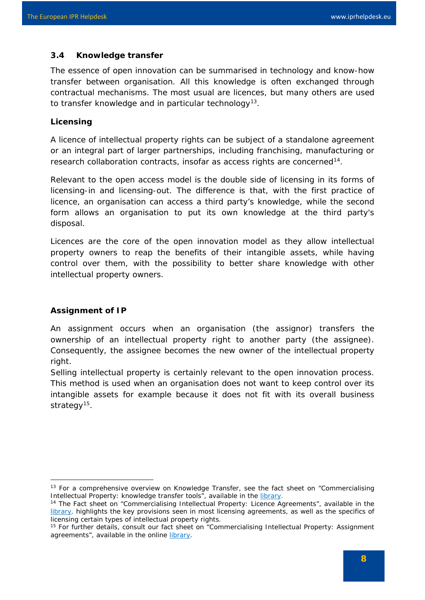### **3.4 Knowledge transfer**

The essence of open innovation can be summarised in technology and know-how transfer between organisation. All this knowledge is often exchanged through contractual mechanisms. The most usual are licences, but many others are used to transfer knowledge and in particular technology<sup>[13](#page-7-0)</sup>.

#### **Licensing**

A licence of intellectual property rights can be subject of a standalone agreement or an integral part of larger partnerships, including franchising, manufacturing or research collaboration contracts, insofar as access rights are concerned<sup>14</sup>.

Relevant to the open access model is the double side of licensing in its forms of licensing-in and licensing-out. The difference is that, with the first practice of licence, an organisation can access a third party's knowledge, while the second form allows an organisation to put its own knowledge at the third party's disposal.

Licences are the core of the open innovation model as they allow intellectual property owners to reap the benefits of their intangible assets, while having control over them, with the possibility to better share knowledge with other intellectual property owners.

#### **Assignment of IP**

1

An assignment occurs when an organisation (the assignor) transfers the ownership of an intellectual property right to another party (the assignee). Consequently, the assignee becomes the new owner of the intellectual property right.

Selling intellectual property is certainly relevant to the open innovation process. This method is used when an organisation does not want to keep control over its intangible assets for example because it does not fit with its overall business strategy<sup>15</sup>.

<span id="page-7-0"></span><sup>&</sup>lt;sup>13</sup> For a comprehensive overview on Knowledge Transfer, see the fact sheet on "Commercialising Intellectual Property: knowledge transfer tools", available in the [library.](http://www.iprhelpdesk.eu/library)

<span id="page-7-1"></span><sup>14</sup> The Fact sheet on "Commercialising Intellectual Property: Licence Agreements", available in the [library,](http://www.iprhelpdesk.eu/library) highlights the key provisions seen in most licensing agreements, as well as the specifics of licensing certain types of intellectual property rights.

<span id="page-7-2"></span><sup>15</sup> For further details, consult our fact sheet on "Commercialising Intellectual Property: Assignment agreements", available in the online [library.](http://www.iprhelpdesk.eu/library)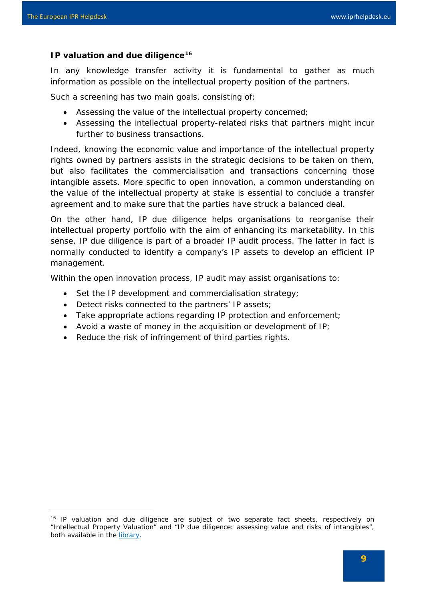1

#### **IP valuation and due diligence[16](#page-8-1)**

In any knowledge transfer activity it is fundamental to gather as much information as possible on the intellectual property position of the partners.

Such a screening has two main goals, consisting of:

- Assessing the value of the intellectual property concerned;
- Assessing the intellectual property-related risks that partners might incur further to business transactions.

Indeed, knowing the economic value and importance of the intellectual property rights owned by partners assists in the strategic decisions to be taken on them, but also facilitates the commercialisation and transactions concerning those intangible assets. More specific to open innovation, a common understanding on the value of the intellectual property at stake is essential to conclude a transfer agreement and to make sure that the parties have struck a balanced deal.

On the other hand, IP due diligence helps organisations to reorganise their intellectual property portfolio with the aim of enhancing its marketability. In this sense, IP due diligence is part of a broader IP audit process. The latter in fact is normally conducted to identify a company's IP assets to develop an efficient IP management.

Within the open innovation process, IP audit may assist organisations to:

- Set the IP development and commercialisation strategy;
- Detect risks connected to the partners' IP assets;
- Take appropriate actions regarding IP protection and enforcement;
- Avoid a waste of money in the acquisition or development of IP;
- <span id="page-8-0"></span>• Reduce the risk of infringement of third parties rights.

<span id="page-8-1"></span><sup>&</sup>lt;sup>16</sup> IP valuation and due diligence are subject of two separate fact sheets, respectively on "Intellectual Property Valuation" and "IP due diligence: assessing value and risks of intangibles", both available in the [library.](http://www.iprhelpdesk.eu/library)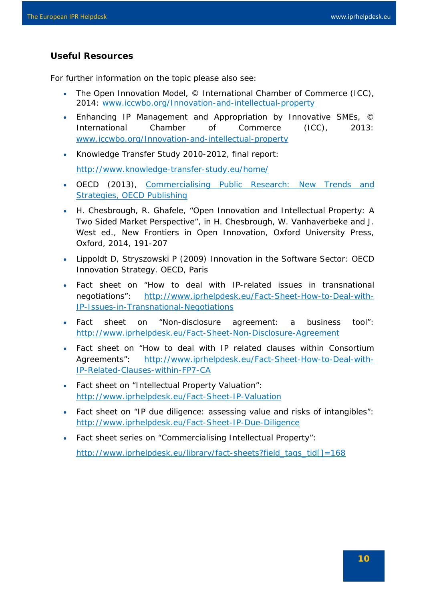#### **Useful Resources**

For further information on the topic please also see:

- The Open Innovation Model, © International Chamber of Commerce (ICC), 2014: www.iccwbo.org/Innovation-and-intellectual-property
- Enhancing IP Management and Appropriation by Innovative SMEs, © International Chamber of Commerce (ICC), 2013: www.iccwbo.org/Innovation-and-intellectual-property
- Knowledge Transfer Study 2010-2012, final report: <http://www.knowledge-transfer-study.eu/home/>
- OECD (2013), [Commercialising Public Research: New Trends and](http://www.oecd-ilibrary.org/science-and-technology/commercialising-public-research-new-trends-and-strategies_9789264193321-en)  [Strategies, OECD Publishing](http://www.oecd-ilibrary.org/science-and-technology/commercialising-public-research-new-trends-and-strategies_9789264193321-en)
- H. Chesbrough, R. Ghafele, "Open Innovation and Intellectual Property: A Two Sided Market Perspective", in H. Chesbrough, W. Vanhaverbeke and J. West ed., New Frontiers in Open Innovation, Oxford University Press, Oxford, 2014, 191-207
- Lippoldt D, Stryszowski P (2009) Innovation in the Software Sector: OECD Innovation Strategy. OECD, Paris
- Fact sheet on "How to deal with IP-related issues in transnational negotiations": http://www.iprhelpdesk.eu/Fact-Sheet-How-to-Deal-with-IP-Issues-in-Transnational-Negotiations
- Fact sheet on "Non-disclosure agreement: a business tool": <http://www.iprhelpdesk.eu/Fact-Sheet-Non-Disclosure-Agreement>
- Fact sheet on "How to deal with IP related clauses within Consortium Agreements": http://www.iprhelpdesk.eu/Fact-Sheet-How-to-Deal-with-IP-Related-Clauses-within-FP7-CA
- Fact sheet on "Intellectual Property Valuation": <http://www.iprhelpdesk.eu/Fact-Sheet-IP-Valuation>
- Fact sheet on "IP due diligence: assessing value and risks of intangibles": http://www.iprhelpdesk.eu/Fact-Sheet-IP-Due-Diligence
- Fact sheet series on "Commercialising Intellectual Property":

[http://www.iprhelpdesk.eu/library/fact-sheets?field\\_tags\\_tid\[\]=168](http://www.iprhelpdesk.eu/library/fact-sheets?field_tags_tid%5b%5d=168)